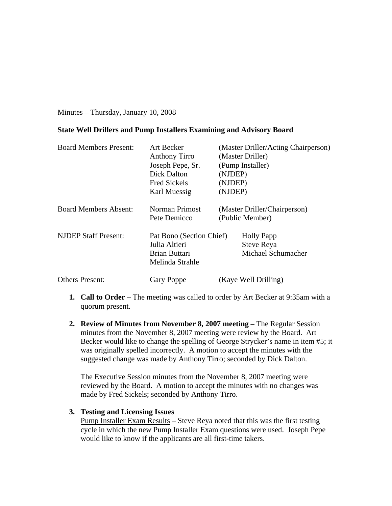Minutes – Thursday, January 10, 2008

# **State Well Drillers and Pump Installers Examining and Advisory Board**

| <b>Board Members Present:</b> | Art Becker<br><b>Anthony Tirro</b><br>Joseph Pepe, Sr.<br>Dick Dalton<br><b>Fred Sickels</b><br>Karl Muessig | (Master Driller/Acting Chairperson)<br>(Master Driller)<br>(Pump Installer)<br>(NJDEP)<br>(NJDEP)<br>(NJDEP) |
|-------------------------------|--------------------------------------------------------------------------------------------------------------|--------------------------------------------------------------------------------------------------------------|
| <b>Board Members Absent:</b>  | Norman Primost<br>Pete Demicco                                                                               | (Master Driller/Chairperson)<br>(Public Member)                                                              |
| <b>NJDEP Staff Present:</b>   | Pat Bono (Section Chief)<br>Julia Altieri<br><b>Brian Buttari</b><br>Melinda Strahle                         | <b>Holly Papp</b><br><b>Steve Reya</b><br>Michael Schumacher                                                 |
| <b>Others Present:</b>        | <b>Gary Poppe</b>                                                                                            | (Kaye Well Drilling)                                                                                         |

- **1. Call to Order** The meeting was called to order by Art Becker at 9:35am with a quorum present.
- **2. Review of Minutes from November 8, 2007 meeting** The Regular Session minutes from the November 8, 2007 meeting were review by the Board. Art Becker would like to change the spelling of George Strycker's name in item #5; it was originally spelled incorrectly. A motion to accept the minutes with the suggested change was made by Anthony Tirro; seconded by Dick Dalton.

The Executive Session minutes from the November 8, 2007 meeting were reviewed by the Board. A motion to accept the minutes with no changes was made by Fred Sickels; seconded by Anthony Tirro.

# **3. Testing and Licensing Issues**

Pump Installer Exam Results – Steve Reya noted that this was the first testing cycle in which the new Pump Installer Exam questions were used. Joseph Pepe would like to know if the applicants are all first-time takers.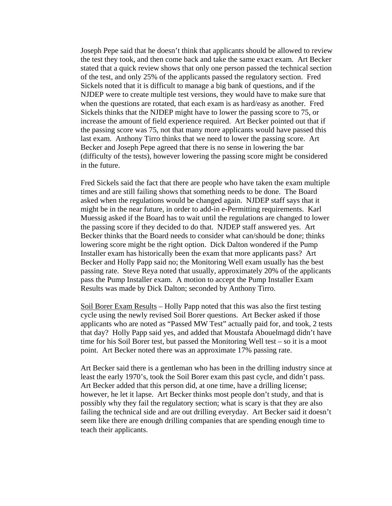Joseph Pepe said that he doesn't think that applicants should be allowed to review the test they took, and then come back and take the same exact exam. Art Becker stated that a quick review shows that only one person passed the technical section of the test, and only 25% of the applicants passed the regulatory section. Fred Sickels noted that it is difficult to manage a big bank of questions, and if the NJDEP were to create multiple test versions, they would have to make sure that when the questions are rotated, that each exam is as hard/easy as another. Fred Sickels thinks that the NJDEP might have to lower the passing score to 75, or increase the amount of field experience required. Art Becker pointed out that if the passing score was 75, not that many more applicants would have passed this last exam. Anthony Tirro thinks that we need to lower the passing score. Art Becker and Joseph Pepe agreed that there is no sense in lowering the bar (difficulty of the tests), however lowering the passing score might be considered in the future.

Fred Sickels said the fact that there are people who have taken the exam multiple times and are still failing shows that something needs to be done. The Board asked when the regulations would be changed again. NJDEP staff says that it might be in the near future, in order to add-in e-Permitting requirements. Karl Muessig asked if the Board has to wait until the regulations are changed to lower the passing score if they decided to do that. NJDEP staff answered yes. Art Becker thinks that the Board needs to consider what can/should be done; thinks lowering score might be the right option. Dick Dalton wondered if the Pump Installer exam has historically been the exam that more applicants pass? Art Becker and Holly Papp said no; the Monitoring Well exam usually has the best passing rate. Steve Reya noted that usually, approximately 20% of the applicants pass the Pump Installer exam. A motion to accept the Pump Installer Exam Results was made by Dick Dalton; seconded by Anthony Tirro.

Soil Borer Exam Results – Holly Papp noted that this was also the first testing cycle using the newly revised Soil Borer questions. Art Becker asked if those applicants who are noted as "Passed MW Test" actually paid for, and took, 2 tests that day? Holly Papp said yes, and added that Moustafa Abouelmagd didn't have time for his Soil Borer test, but passed the Monitoring Well test – so it is a moot point. Art Becker noted there was an approximate 17% passing rate.

Art Becker said there is a gentleman who has been in the drilling industry since at least the early 1970's, took the Soil Borer exam this past cycle, and didn't pass. Art Becker added that this person did, at one time, have a drilling license; however, he let it lapse. Art Becker thinks most people don't study, and that is possibly why they fail the regulatory section; what is scary is that they are also failing the technical side and are out drilling everyday. Art Becker said it doesn't seem like there are enough drilling companies that are spending enough time to teach their applicants.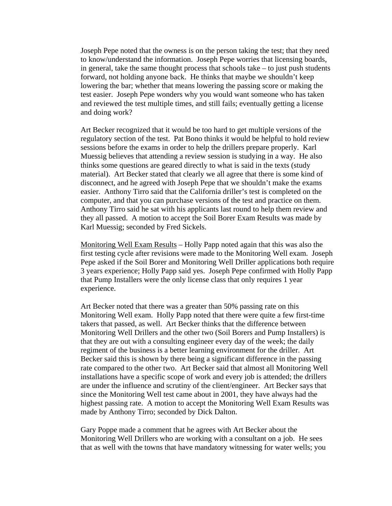Joseph Pepe noted that the owness is on the person taking the test; that they need to know/understand the information. Joseph Pepe worries that licensing boards, in general, take the same thought process that schools take – to just push students forward, not holding anyone back. He thinks that maybe we shouldn't keep lowering the bar; whether that means lowering the passing score or making the test easier. Joseph Pepe wonders why you would want someone who has taken and reviewed the test multiple times, and still fails; eventually getting a license and doing work?

Art Becker recognized that it would be too hard to get multiple versions of the regulatory section of the test. Pat Bono thinks it would be helpful to hold review sessions before the exams in order to help the drillers prepare properly. Karl Muessig believes that attending a review session is studying in a way. He also thinks some questions are geared directly to what is said in the texts (study material). Art Becker stated that clearly we all agree that there is some kind of disconnect, and he agreed with Joseph Pepe that we shouldn't make the exams easier. Anthony Tirro said that the California driller's test is completed on the computer, and that you can purchase versions of the test and practice on them. Anthony Tirro said he sat with his applicants last round to help them review and they all passed. A motion to accept the Soil Borer Exam Results was made by Karl Muessig; seconded by Fred Sickels.

Monitoring Well Exam Results – Holly Papp noted again that this was also the first testing cycle after revisions were made to the Monitoring Well exam. Joseph Pepe asked if the Soil Borer and Monitoring Well Driller applications both require 3 years experience; Holly Papp said yes. Joseph Pepe confirmed with Holly Papp that Pump Installers were the only license class that only requires 1 year experience.

Art Becker noted that there was a greater than 50% passing rate on this Monitoring Well exam. Holly Papp noted that there were quite a few first-time takers that passed, as well. Art Becker thinks that the difference between Monitoring Well Drillers and the other two (Soil Borers and Pump Installers) is that they are out with a consulting engineer every day of the week; the daily regiment of the business is a better learning environment for the driller. Art Becker said this is shown by there being a significant difference in the passing rate compared to the other two. Art Becker said that almost all Monitoring Well installations have a specific scope of work and every job is attended; the drillers are under the influence and scrutiny of the client/engineer. Art Becker says that since the Monitoring Well test came about in 2001, they have always had the highest passing rate. A motion to accept the Monitoring Well Exam Results was made by Anthony Tirro; seconded by Dick Dalton.

Gary Poppe made a comment that he agrees with Art Becker about the Monitoring Well Drillers who are working with a consultant on a job. He sees that as well with the towns that have mandatory witnessing for water wells; you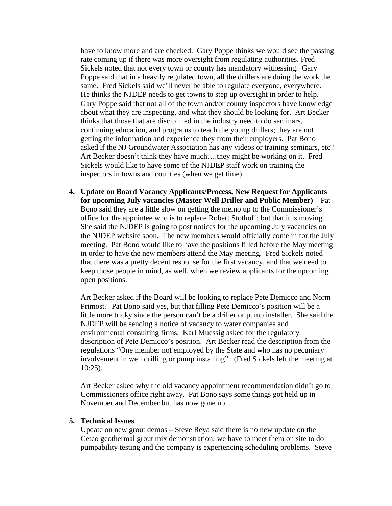have to know more and are checked. Gary Poppe thinks we would see the passing rate coming up if there was more oversight from regulating authorities. Fred Sickels noted that not every town or county has mandatory witnessing. Gary Poppe said that in a heavily regulated town, all the drillers are doing the work the same. Fred Sickels said we'll never be able to regulate everyone, everywhere. He thinks the NJDEP needs to get towns to step up oversight in order to help. Gary Poppe said that not all of the town and/or county inspectors have knowledge about what they are inspecting, and what they should be looking for. Art Becker thinks that those that are disciplined in the industry need to do seminars, continuing education, and programs to teach the young drillers; they are not getting the information and experience they from their employers. Pat Bono asked if the NJ Groundwater Association has any videos or training seminars, etc? Art Becker doesn't think they have much….they might be working on it. Fred Sickels would like to have some of the NJDEP staff work on training the inspectors in towns and counties (when we get time).

**4. Update on Board Vacancy Applicants/Process, New Request for Applicants for upcoming July vacancies (Master Well Driller and Public Member)** – Pat Bono said they are a little slow on getting the memo up to the Commissioner's office for the appointee who is to replace Robert Stothoff; but that it is moving. She said the NJDEP is going to post notices for the upcoming July vacancies on the NJDEP website soon. The new members would officially come in for the July meeting. Pat Bono would like to have the positions filled before the May meeting in order to have the new members attend the May meeting. Fred Sickels noted that there was a pretty decent response for the first vacancy, and that we need to keep those people in mind, as well, when we review applicants for the upcoming open positions.

Art Becker asked if the Board will be looking to replace Pete Demicco and Norm Primost? Pat Bono said yes, but that filling Pete Demicco's position will be a little more tricky since the person can't be a driller or pump installer. She said the NJDEP will be sending a notice of vacancy to water companies and environmental consulting firms. Karl Muessig asked for the regulatory description of Pete Demicco's position. Art Becker read the description from the regulations "One member not employed by the State and who has no pecuniary involvement in well drilling or pump installing". (Fred Sickels left the meeting at 10:25).

Art Becker asked why the old vacancy appointment recommendation didn't go to Commissioners office right away. Pat Bono says some things got held up in November and December but has now gone up.

### **5. Technical Issues**

Update on new grout demos – Steve Reya said there is no new update on the Cetco geothermal grout mix demonstration; we have to meet them on site to do pumpability testing and the company is experiencing scheduling problems. Steve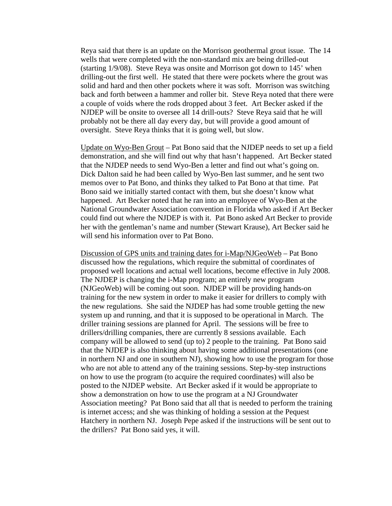Reya said that there is an update on the Morrison geothermal grout issue. The 14 wells that were completed with the non-standard mix are being drilled-out (starting 1/9/08). Steve Reya was onsite and Morrison got down to 145' when drilling-out the first well. He stated that there were pockets where the grout was solid and hard and then other pockets where it was soft. Morrison was switching back and forth between a hammer and roller bit. Steve Reya noted that there were a couple of voids where the rods dropped about 3 feet. Art Becker asked if the NJDEP will be onsite to oversee all 14 drill-outs? Steve Reya said that he will probably not be there all day every day, but will provide a good amount of oversight. Steve Reya thinks that it is going well, but slow.

Update on Wyo-Ben Grout – Pat Bono said that the NJDEP needs to set up a field demonstration, and she will find out why that hasn't happened. Art Becker stated that the NJDEP needs to send Wyo-Ben a letter and find out what's going on. Dick Dalton said he had been called by Wyo-Ben last summer, and he sent two memos over to Pat Bono, and thinks they talked to Pat Bono at that time. Pat Bono said we initially started contact with them, but she doesn't know what happened. Art Becker noted that he ran into an employee of Wyo-Ben at the National Groundwater Association convention in Florida who asked if Art Becker could find out where the NJDEP is with it. Pat Bono asked Art Becker to provide her with the gentleman's name and number (Stewart Krause), Art Becker said he will send his information over to Pat Bono.

Discussion of GPS units and training dates for i-Map/NJGeoWeb – Pat Bono discussed how the regulations, which require the submittal of coordinates of proposed well locations and actual well locations, become effective in July 2008. The NJDEP is changing the i-Map program; an entirely new program (NJGeoWeb) will be coming out soon. NJDEP will be providing hands-on training for the new system in order to make it easier for drillers to comply with the new regulations. She said the NJDEP has had some trouble getting the new system up and running, and that it is supposed to be operational in March. The driller training sessions are planned for April. The sessions will be free to drillers/drilling companies, there are currently 8 sessions available. Each company will be allowed to send (up to) 2 people to the training. Pat Bono said that the NJDEP is also thinking about having some additional presentations (one in northern NJ and one in southern NJ), showing how to use the program for those who are not able to attend any of the training sessions. Step-by-step instructions on how to use the program (to acquire the required coordinates) will also be posted to the NJDEP website. Art Becker asked if it would be appropriate to show a demonstration on how to use the program at a NJ Groundwater Association meeting? Pat Bono said that all that is needed to perform the training is internet access; and she was thinking of holding a session at the Pequest Hatchery in northern NJ. Joseph Pepe asked if the instructions will be sent out to the drillers? Pat Bono said yes, it will.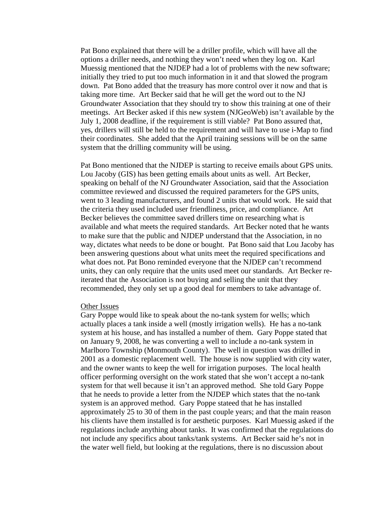Pat Bono explained that there will be a driller profile, which will have all the options a driller needs, and nothing they won't need when they log on. Karl Muessig mentioned that the NJDEP had a lot of problems with the new software; initially they tried to put too much information in it and that slowed the program down. Pat Bono added that the treasury has more control over it now and that is taking more time. Art Becker said that he will get the word out to the NJ Groundwater Association that they should try to show this training at one of their meetings. Art Becker asked if this new system (NJGeoWeb) isn't available by the July 1, 2008 deadline, if the requirement is still viable? Pat Bono assured that, yes, drillers will still be held to the requirement and will have to use i-Map to find their coordinates. She added that the April training sessions will be on the same system that the drilling community will be using.

Pat Bono mentioned that the NJDEP is starting to receive emails about GPS units. Lou Jacoby (GIS) has been getting emails about units as well. Art Becker, speaking on behalf of the NJ Groundwater Association, said that the Association committee reviewed and discussed the required parameters for the GPS units, went to 3 leading manufacturers, and found 2 units that would work. He said that the criteria they used included user friendliness, price, and compliance. Art Becker believes the committee saved drillers time on researching what is available and what meets the required standards. Art Becker noted that he wants to make sure that the public and NJDEP understand that the Association, in no way, dictates what needs to be done or bought. Pat Bono said that Lou Jacoby has been answering questions about what units meet the required specifications and what does not. Pat Bono reminded everyone that the NJDEP can't recommend units, they can only require that the units used meet our standards. Art Becker reiterated that the Association is not buying and selling the unit that they recommended, they only set up a good deal for members to take advantage of.

#### Other Issues

Gary Poppe would like to speak about the no-tank system for wells; which actually places a tank inside a well (mostly irrigation wells). He has a no-tank system at his house, and has installed a number of them. Gary Poppe stated that on January 9, 2008, he was converting a well to include a no-tank system in Marlboro Township (Monmouth County). The well in question was drilled in 2001 as a domestic replacement well. The house is now supplied with city water, and the owner wants to keep the well for irrigation purposes. The local health officer performing oversight on the work stated that she won't accept a no-tank system for that well because it isn't an approved method. She told Gary Poppe that he needs to provide a letter from the NJDEP which states that the no-tank system is an approved method. Gary Poppe stateed that he has installed approximately 25 to 30 of them in the past couple years; and that the main reason his clients have them installed is for aesthetic purposes. Karl Muessig asked if the regulations include anything about tanks. It was confirmed that the regulations do not include any specifics about tanks/tank systems. Art Becker said he's not in the water well field, but looking at the regulations, there is no discussion about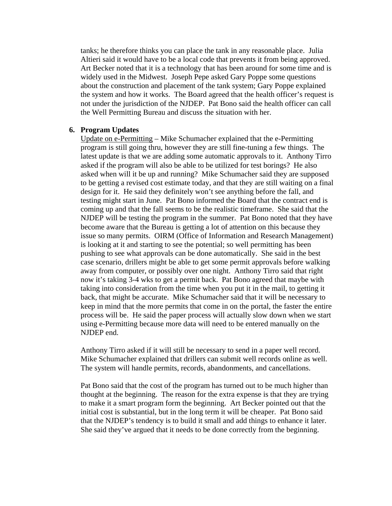tanks; he therefore thinks you can place the tank in any reasonable place. Julia Altieri said it would have to be a local code that prevents it from being approved. Art Becker noted that it is a technology that has been around for some time and is widely used in the Midwest. Joseph Pepe asked Gary Poppe some questions about the construction and placement of the tank system; Gary Poppe explained the system and how it works. The Board agreed that the health officer's request is not under the jurisdiction of the NJDEP. Pat Bono said the health officer can call the Well Permitting Bureau and discuss the situation with her.

### **6. Program Updates**

Update on e-Permitting – Mike Schumacher explained that the e-Permitting program is still going thru, however they are still fine-tuning a few things. The latest update is that we are adding some automatic approvals to it. Anthony Tirro asked if the program will also be able to be utilized for test borings? He also asked when will it be up and running? Mike Schumacher said they are supposed to be getting a revised cost estimate today, and that they are still waiting on a final design for it. He said they definitely won't see anything before the fall, and testing might start in June. Pat Bono informed the Board that the contract end is coming up and that the fall seems to be the realistic timeframe. She said that the NJDEP will be testing the program in the summer. Pat Bono noted that they have become aware that the Bureau is getting a lot of attention on this because they issue so many permits. OIRM (Office of Information and Research Management) is looking at it and starting to see the potential; so well permitting has been pushing to see what approvals can be done automatically. She said in the best case scenario, drillers might be able to get some permit approvals before walking away from computer, or possibly over one night. Anthony Tirro said that right now it's taking 3-4 wks to get a permit back. Pat Bono agreed that maybe with taking into consideration from the time when you put it in the mail, to getting it back, that might be accurate. Mike Schumacher said that it will be necessary to keep in mind that the more permits that come in on the portal, the faster the entire process will be. He said the paper process will actually slow down when we start using e-Permitting because more data will need to be entered manually on the NJDEP end.

Anthony Tirro asked if it will still be necessary to send in a paper well record. Mike Schumacher explained that drillers can submit well records online as well. The system will handle permits, records, abandonments, and cancellations.

Pat Bono said that the cost of the program has turned out to be much higher than thought at the beginning. The reason for the extra expense is that they are trying to make it a smart program form the beginning. Art Becker pointed out that the initial cost is substantial, but in the long term it will be cheaper. Pat Bono said that the NJDEP's tendency is to build it small and add things to enhance it later. She said they've argued that it needs to be done correctly from the beginning.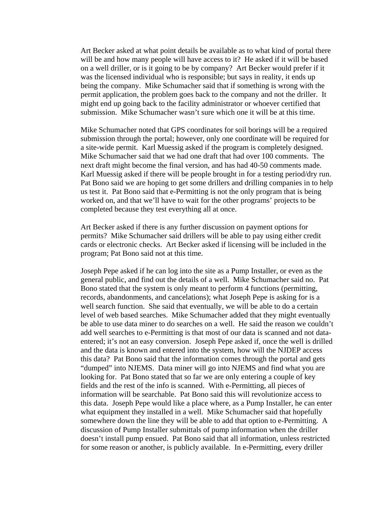Art Becker asked at what point details be available as to what kind of portal there will be and how many people will have access to it? He asked if it will be based on a well driller, or is it going to be by company? Art Becker would prefer if it was the licensed individual who is responsible; but says in reality, it ends up being the company. Mike Schumacher said that if something is wrong with the permit application, the problem goes back to the company and not the driller. It might end up going back to the facility administrator or whoever certified that submission. Mike Schumacher wasn't sure which one it will be at this time.

Mike Schumacher noted that GPS coordinates for soil borings will be a required submission through the portal; however, only one coordinate will be required for a site-wide permit. Karl Muessig asked if the program is completely designed. Mike Schumacher said that we had one draft that had over 100 comments. The next draft might become the final version, and has had 40-50 comments made. Karl Muessig asked if there will be people brought in for a testing period/dry run. Pat Bono said we are hoping to get some drillers and drilling companies in to help us test it. Pat Bono said that e-Permitting is not the only program that is being worked on, and that we'll have to wait for the other programs' projects to be completed because they test everything all at once.

Art Becker asked if there is any further discussion on payment options for permits? Mike Schumacher said drillers will be able to pay using either credit cards or electronic checks. Art Becker asked if licensing will be included in the program; Pat Bono said not at this time.

Joseph Pepe asked if he can log into the site as a Pump Installer, or even as the general public, and find out the details of a well. Mike Schumacher said no. Pat Bono stated that the system is only meant to perform 4 functions (permitting, records, abandonments, and cancelations); what Joseph Pepe is asking for is a well search function. She said that eventually, we will be able to do a certain level of web based searches. Mike Schumacher added that they might eventually be able to use data miner to do searches on a well. He said the reason we couldn't add well searches to e-Permitting is that most of our data is scanned and not dataentered; it's not an easy conversion. Joseph Pepe asked if, once the well is drilled and the data is known and entered into the system, how will the NJDEP access this data? Pat Bono said that the information comes through the portal and gets "dumped" into NJEMS. Data miner will go into NJEMS and find what you are looking for. Pat Bono stated that so far we are only entering a couple of key fields and the rest of the info is scanned. With e-Permitting, all pieces of information will be searchable. Pat Bono said this will revolutionize access to this data. Joseph Pepe would like a place where, as a Pump Installer, he can enter what equipment they installed in a well. Mike Schumacher said that hopefully somewhere down the line they will be able to add that option to e-Permitting. A discussion of Pump Installer submittals of pump information when the driller doesn't install pump ensued. Pat Bono said that all information, unless restricted for some reason or another, is publicly available. In e-Permitting, every driller